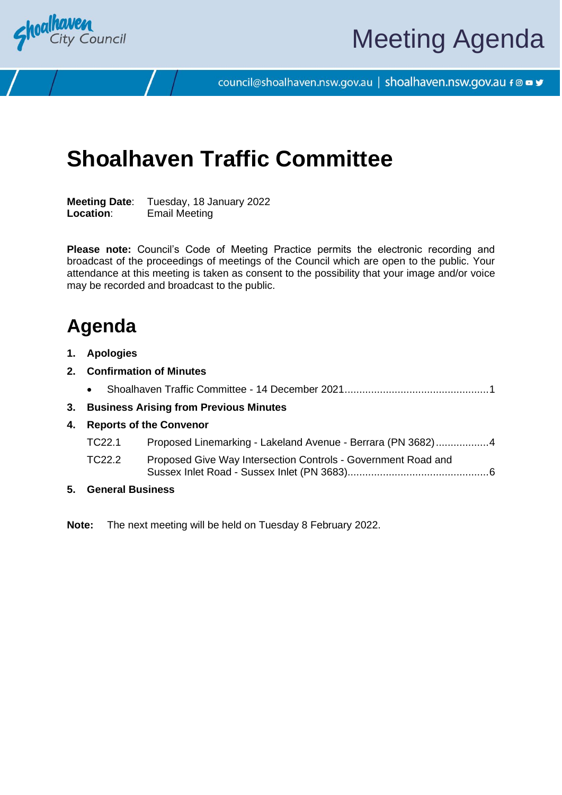

council@shoalhaven.nsw.gov.au | shoalhaven.nsw.gov.au f @ ■ y

# **Shoalhaven Traffic Committee**

**Meeting Date**: Tuesday, 18 January 2022 **Location**: Email Meeting

**Please note:** Council's Code of Meeting Practice permits the electronic recording and broadcast of the proceedings of meetings of the Council which are open to the public. Your attendance at this meeting is taken as consent to the possibility that your image and/or voice may be recorded and broadcast to the public.

# **Agenda**

- **1. Apologies**
- **2. Confirmation of Minutes**
	- Shoalhaven Traffic Committee 14 December 2021................................................[.1](#page-2-0)
- **3. Business Arising from Previous Minutes**
- **4. Reports of the Convenor**
	- TC22.1 Proposed Linemarking Lakeland Avenue Berrara (PN 3682).................[.4](#page-5-0)
	- TC22.2 Proposed Give Way Intersection Controls Government Road and Sussex Inlet Road - Sussex Inlet (PN 3683)...............................................[.6](#page-7-0)
- **5. General Business**

**Note:** The next meeting will be held on Tuesday 8 February 2022.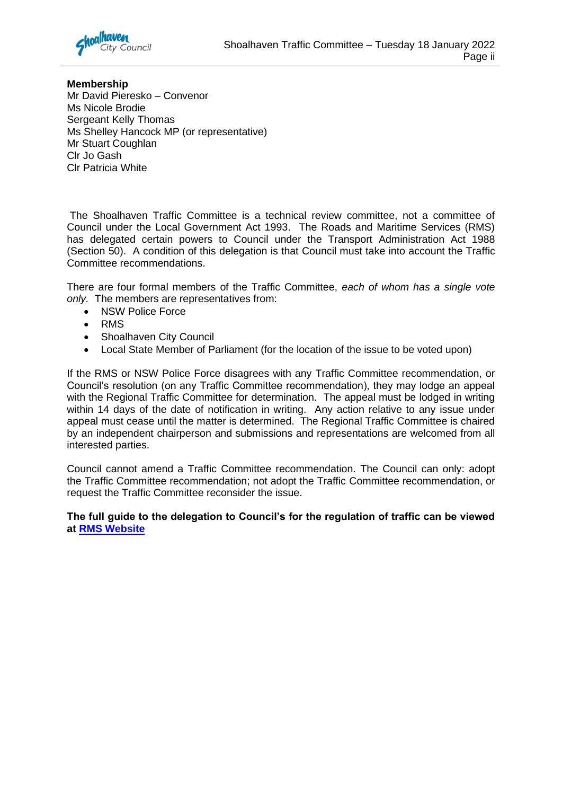

# **Membership**

Mr David Pieresko – Convenor Ms Nicole Brodie Sergeant Kelly Thomas Ms Shelley Hancock MP (or representative) Mr Stuart Coughlan Clr Jo Gash Clr Patricia White

The Shoalhaven Traffic Committee is a technical review committee, not a committee of Council under the Local Government Act 1993. The Roads and Maritime Services (RMS) has delegated certain powers to Council under the Transport Administration Act 1988 (Section 50). A condition of this delegation is that Council must take into account the Traffic Committee recommendations.

There are four formal members of the Traffic Committee, *each of whom has a single vote only.* The members are representatives from:

- NSW Police Force
- RMS
- Shoalhaven City Council
- Local State Member of Parliament (for the location of the issue to be voted upon)

If the RMS or NSW Police Force disagrees with any Traffic Committee recommendation, or Council's resolution (on any Traffic Committee recommendation), they may lodge an appeal with the Regional Traffic Committee for determination. The appeal must be lodged in writing within 14 days of the date of notification in writing. Any action relative to any issue under appeal must cease until the matter is determined. The Regional Traffic Committee is chaired by an independent chairperson and submissions and representations are welcomed from all interested parties.

Council cannot amend a Traffic Committee recommendation. The Council can only: adopt the Traffic Committee recommendation; not adopt the Traffic Committee recommendation, or request the Traffic Committee reconsider the issue.

# **The full guide to the delegation to Council's for the regulation of traffic can be viewed at [RMS Website](http://www.rms.nsw.gov.au/business-industry/partners-suppliers/documents/technical-manuals/ltcguidev13_i.pdf)**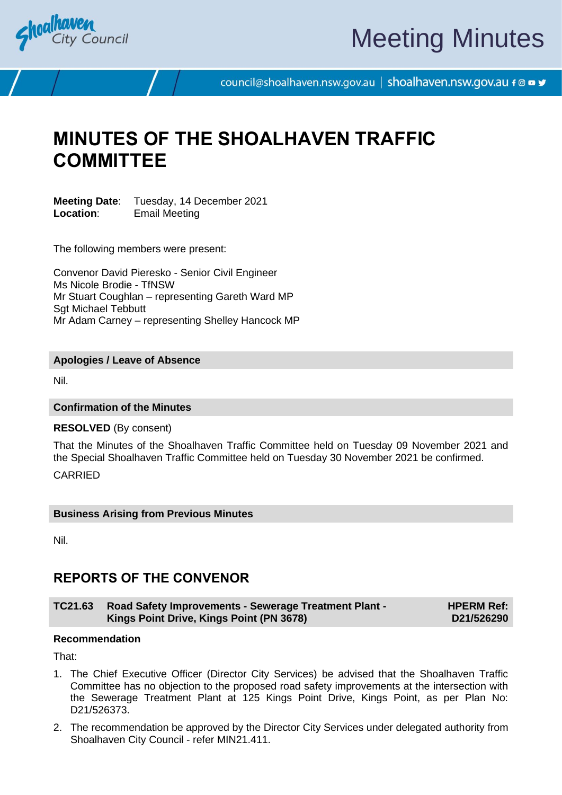<span id="page-2-0"></span>

# Meeting Minutes

council@shoalhaven.nsw.gov.au | shoalhaven.nsw.gov.au f @ ■ y

# **MINUTES OF THE SHOALHAVEN TRAFFIC COMMITTEE**

**Meeting Date:** Tuesday, 14 December 2021<br>**Location:** Fmail Meeting **Email Meeting** 

The following members were present:

Convenor David Pieresko - Senior Civil Engineer Ms Nicole Brodie - TfNSW Mr Stuart Coughlan – representing Gareth Ward MP Sgt Michael Tebbutt Mr Adam Carney – representing Shelley Hancock MP

## **Apologies / Leave of Absence**

Nil.

# **Confirmation of the Minutes**

## **RESOLVED** (By consent)

That the Minutes of the Shoalhaven Traffic Committee held on Tuesday 09 November 2021 and the Special Shoalhaven Traffic Committee held on Tuesday 30 November 2021 be confirmed.

CARRIED

# **Business Arising from Previous Minutes**

Nil.

# **REPORTS OF THE CONVENOR**

**TC21.63 Road Safety Improvements - Sewerage Treatment Plant - Kings Point Drive, Kings Point (PN 3678) HPERM Ref: D21/526290**

# **Recommendation**

That:

- 1. The Chief Executive Officer (Director City Services) be advised that the Shoalhaven Traffic Committee has no objection to the proposed road safety improvements at the intersection with the Sewerage Treatment Plant at 125 Kings Point Drive, Kings Point, as per Plan No: D21/526373.
- 2. The recommendation be approved by the Director City Services under delegated authority from Shoalhaven City Council - refer MIN21.411.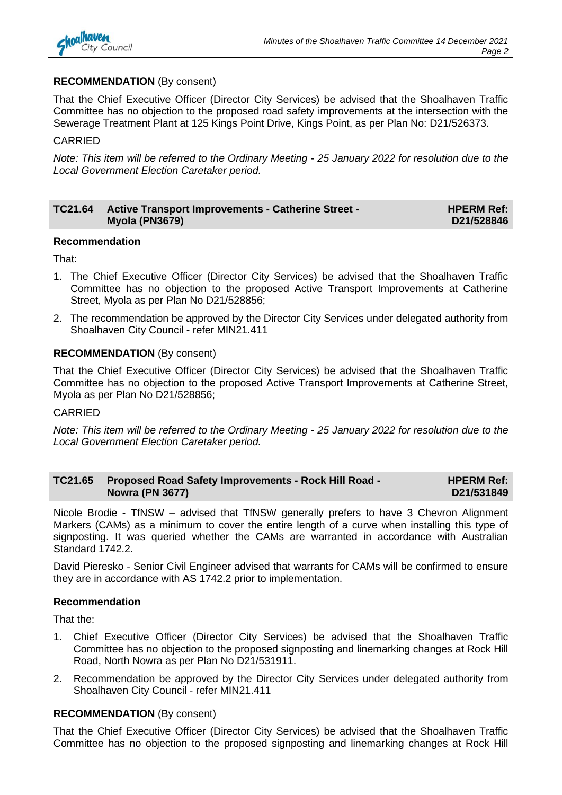

# **RECOMMENDATION** (By consent)

That the Chief Executive Officer (Director City Services) be advised that the Shoalhaven Traffic Committee has no objection to the proposed road safety improvements at the intersection with the Sewerage Treatment Plant at 125 Kings Point Drive, Kings Point, as per Plan No: D21/526373.

## CARRIED

*Note: This item will be referred to the Ordinary Meeting - 25 January 2022 for resolution due to the Local Government Election Caretaker period.*

#### **TC21.64 Active Transport Improvements - Catherine Street - Myola (PN3679) HPERM Ref: D21/528846**

## **Recommendation**

That:

- 1. The Chief Executive Officer (Director City Services) be advised that the Shoalhaven Traffic Committee has no objection to the proposed Active Transport Improvements at Catherine Street, Myola as per Plan No D21/528856;
- 2. The recommendation be approved by the Director City Services under delegated authority from Shoalhaven City Council - refer MIN21.411

# **RECOMMENDATION** (By consent)

That the Chief Executive Officer (Director City Services) be advised that the Shoalhaven Traffic Committee has no objection to the proposed Active Transport Improvements at Catherine Street, Myola as per Plan No D21/528856;

### CARRIED

*Note: This item will be referred to the Ordinary Meeting - 25 January 2022 for resolution due to the Local Government Election Caretaker period.*

| TC21.65 | <b>Proposed Road Safety Improvements - Rock Hill Road -</b> | <b>HPERM Ref:</b> |
|---------|-------------------------------------------------------------|-------------------|
|         | <b>Nowra (PN 3677)</b>                                      | D21/531849        |

Nicole Brodie - TfNSW – advised that TfNSW generally prefers to have 3 Chevron Alignment Markers (CAMs) as a minimum to cover the entire length of a curve when installing this type of signposting. It was queried whether the CAMs are warranted in accordance with Australian Standard 1742.2.

David Pieresko - Senior Civil Engineer advised that warrants for CAMs will be confirmed to ensure they are in accordance with AS 1742.2 prior to implementation.

### **Recommendation**

That the:

- 1. Chief Executive Officer (Director City Services) be advised that the Shoalhaven Traffic Committee has no objection to the proposed signposting and linemarking changes at Rock Hill Road, North Nowra as per Plan No D21/531911.
- 2. Recommendation be approved by the Director City Services under delegated authority from Shoalhaven City Council - refer MIN21.411

# **RECOMMENDATION** (By consent)

That the Chief Executive Officer (Director City Services) be advised that the Shoalhaven Traffic Committee has no objection to the proposed signposting and linemarking changes at Rock Hill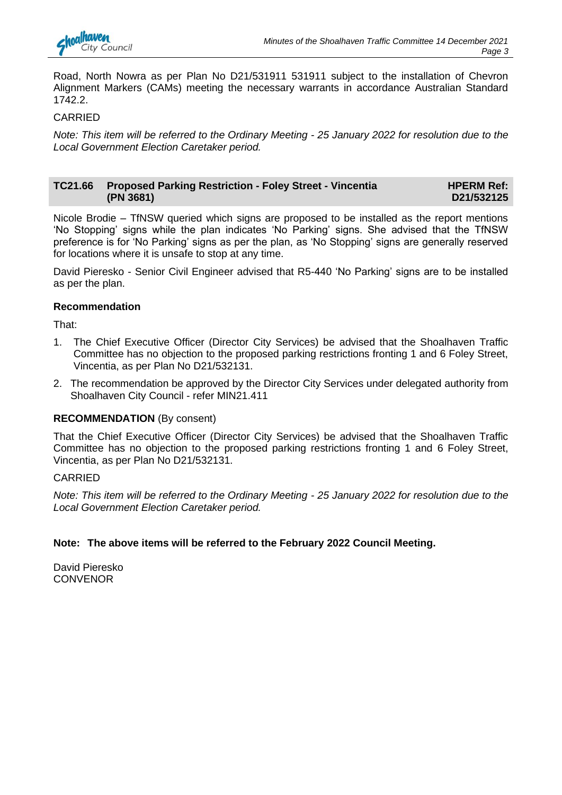

Road, North Nowra as per Plan No D21/531911 531911 subject to the installation of Chevron Alignment Markers (CAMs) meeting the necessary warrants in accordance Australian Standard 1742.2.

# CARRIED

*Note: This item will be referred to the Ordinary Meeting - 25 January 2022 for resolution due to the Local Government Election Caretaker period.*

#### **TC21.66 Proposed Parking Restriction - Foley Street - Vincentia (PN 3681) HPERM Ref: D21/532125**

Nicole Brodie – TfNSW queried which signs are proposed to be installed as the report mentions 'No Stopping' signs while the plan indicates 'No Parking' signs. She advised that the TfNSW preference is for 'No Parking' signs as per the plan, as 'No Stopping' signs are generally reserved for locations where it is unsafe to stop at any time.

David Pieresko - Senior Civil Engineer advised that R5-440 'No Parking' signs are to be installed as per the plan.

# **Recommendation**

That:

- 1. The Chief Executive Officer (Director City Services) be advised that the Shoalhaven Traffic Committee has no objection to the proposed parking restrictions fronting 1 and 6 Foley Street, Vincentia, as per Plan No D21/532131.
- 2. The recommendation be approved by the Director City Services under delegated authority from Shoalhaven City Council - refer MIN21.411

# **RECOMMENDATION** (By consent)

That the Chief Executive Officer (Director City Services) be advised that the Shoalhaven Traffic Committee has no objection to the proposed parking restrictions fronting 1 and 6 Foley Street, Vincentia, as per Plan No D21/532131.

# CARRIED

*Note: This item will be referred to the Ordinary Meeting - 25 January 2022 for resolution due to the Local Government Election Caretaker period.*

# **Note: The above items will be referred to the February 2022 Council Meeting.**

David Pieresko **CONVENOR**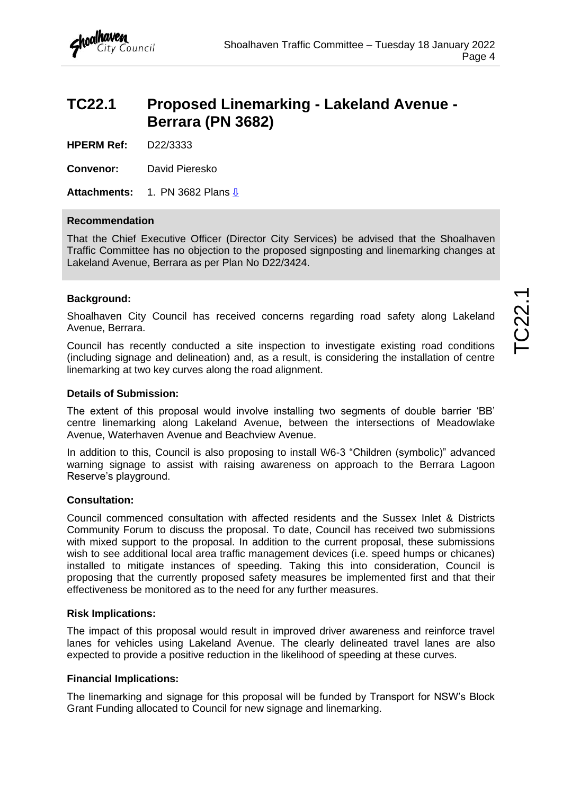# <span id="page-5-0"></span>**TC22.1 Proposed Linemarking - Lakeland Avenue - Berrara (PN 3682)**

**HPERM Ref:** D22/3333

**Convenor:** David Pieresko

**Attachments:** 1. PN 3682 Plans [⇩](#page-6-0)

# **Recommendation**

That the Chief Executive Officer (Director City Services) be advised that the Shoalhaven Traffic Committee has no objection to the proposed signposting and linemarking changes at Lakeland Avenue, Berrara as per Plan No D22/3424.

# **Background:**

Shoalhaven City Council has received concerns regarding road safety along Lakeland Avenue, Berrara.

Council has recently conducted a site inspection to investigate existing road conditions (including signage and delineation) and, as a result, is considering the installation of centre linemarking at two key curves along the road alignment.

# **Details of Submission:**

The extent of this proposal would involve installing two segments of double barrier 'BB' centre linemarking along Lakeland Avenue, between the intersections of Meadowlake Avenue, Waterhaven Avenue and Beachview Avenue.

In addition to this, Council is also proposing to install W6-3 "Children (symbolic)" advanced warning signage to assist with raising awareness on approach to the Berrara Lagoon Reserve's playground.

# **Consultation:**

Council commenced consultation with affected residents and the Sussex Inlet & Districts Community Forum to discuss the proposal. To date, Council has received two submissions with mixed support to the proposal. In addition to the current proposal, these submissions wish to see additional local area traffic management devices (i.e. speed humps or chicanes) installed to mitigate instances of speeding. Taking this into consideration, Council is proposing that the currently proposed safety measures be implemented first and that their effectiveness be monitored as to the need for any further measures.

# **Risk Implications:**

The impact of this proposal would result in improved driver awareness and reinforce travel lanes for vehicles using Lakeland Avenue. The clearly delineated travel lanes are also expected to provide a positive reduction in the likelihood of speeding at these curves.

# **Financial Implications:**

The linemarking and signage for this proposal will be funded by Transport for NSW's Block Grant Funding allocated to Council for new signage and linemarking.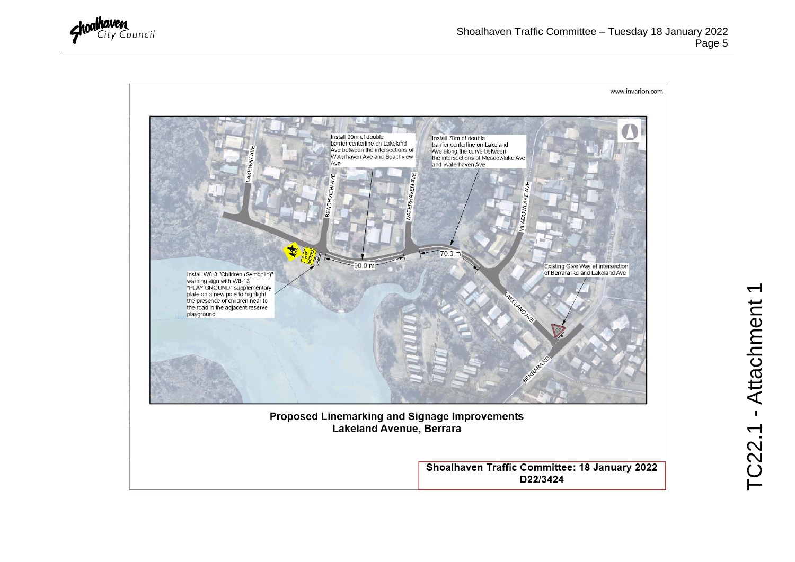<span id="page-6-0"></span>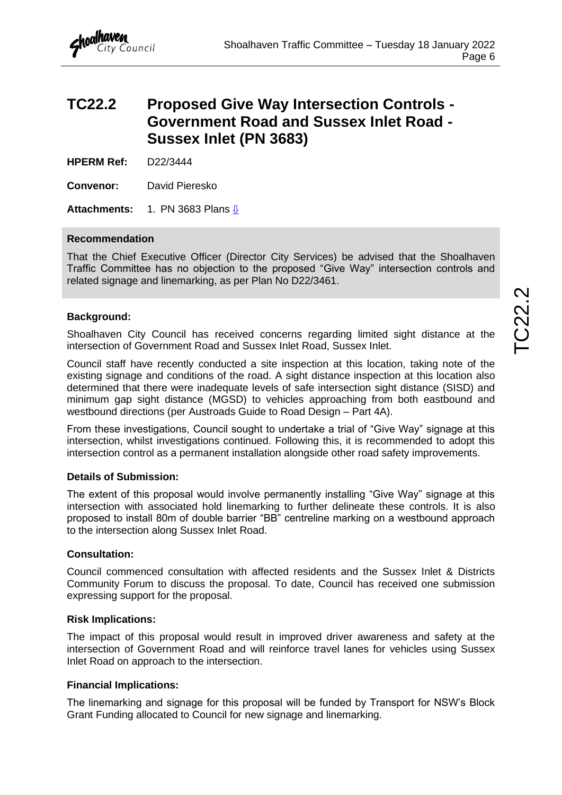# <span id="page-7-0"></span>**TC22.2 Proposed Give Way Intersection Controls - Government Road and Sussex Inlet Road - Sussex Inlet (PN 3683)**

**HPERM Ref:** D22/3444

**Convenor:** David Pieresko

**Attachments:** 1. PN 3683 Plans [⇩](#page-8-0)

# **Recommendation**

That the Chief Executive Officer (Director City Services) be advised that the Shoalhaven Traffic Committee has no objection to the proposed "Give Way" intersection controls and related signage and linemarking, as per Plan No D22/3461.

# **Background:**

Shoalhaven City Council has received concerns regarding limited sight distance at the intersection of Government Road and Sussex Inlet Road, Sussex Inlet.

Council staff have recently conducted a site inspection at this location, taking note of the existing signage and conditions of the road. A sight distance inspection at this location also determined that there were inadequate levels of safe intersection sight distance (SISD) and minimum gap sight distance (MGSD) to vehicles approaching from both eastbound and westbound directions (per Austroads Guide to Road Design – Part 4A).

From these investigations, Council sought to undertake a trial of "Give Way" signage at this intersection, whilst investigations continued. Following this, it is recommended to adopt this intersection control as a permanent installation alongside other road safety improvements.

# **Details of Submission:**

The extent of this proposal would involve permanently installing "Give Way" signage at this intersection with associated hold linemarking to further delineate these controls. It is also proposed to install 80m of double barrier "BB" centreline marking on a westbound approach to the intersection along Sussex Inlet Road.

# **Consultation:**

Council commenced consultation with affected residents and the Sussex Inlet & Districts Community Forum to discuss the proposal. To date, Council has received one submission expressing support for the proposal.

# **Risk Implications:**

The impact of this proposal would result in improved driver awareness and safety at the intersection of Government Road and will reinforce travel lanes for vehicles using Sussex Inlet Road on approach to the intersection.

# **Financial Implications:**

The linemarking and signage for this proposal will be funded by Transport for NSW's Block Grant Funding allocated to Council for new signage and linemarking.